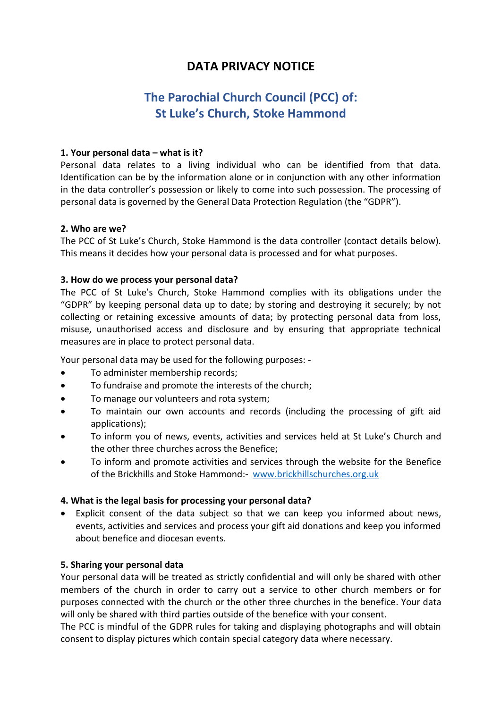## **DATA PRIVACY NOTICE**

# **The Parochial Church Council (PCC) of: St Luke's Church, Stoke Hammond**

## **1. Your personal data – what is it?**

Personal data relates to a living individual who can be identified from that data. Identification can be by the information alone or in conjunction with any other information in the data controller's possession or likely to come into such possession. The processing of personal data is governed by the General Data Protection Regulation (the "GDPR").

## **2. Who are we?**

The PCC of St Luke's Church, Stoke Hammond is the data controller (contact details below). This means it decides how your personal data is processed and for what purposes.

## **3. How do we process your personal data?**

The PCC of St Luke's Church, Stoke Hammond complies with its obligations under the "GDPR" by keeping personal data up to date; by storing and destroying it securely; by not collecting or retaining excessive amounts of data; by protecting personal data from loss, misuse, unauthorised access and disclosure and by ensuring that appropriate technical measures are in place to protect personal data.

Your personal data may be used for the following purposes: -

- To administer membership records;
- To fundraise and promote the interests of the church;
- To manage our volunteers and rota system;
- To maintain our own accounts and records (including the processing of gift aid applications);
- To inform you of news, events, activities and services held at St Luke's Church and the other three churches across the Benefice;
- To inform and promote activities and services through the website for the Benefice of the Brickhills and Stoke Hammond:- [www.brickhillschurches.org.uk](http://www.brickhillschurches.org.uk/)

## **4. What is the legal basis for processing your personal data?**

• Explicit consent of the data subject so that we can keep you informed about news, events, activities and services and process your gift aid donations and keep you informed about benefice and diocesan events.

#### **5. Sharing your personal data**

Your personal data will be treated as strictly confidential and will only be shared with other members of the church in order to carry out a service to other church members or for purposes connected with the church or the other three churches in the benefice. Your data will only be shared with third parties outside of the benefice with your consent.

The PCC is mindful of the GDPR rules for taking and displaying photographs and will obtain consent to display pictures which contain special category data where necessary.